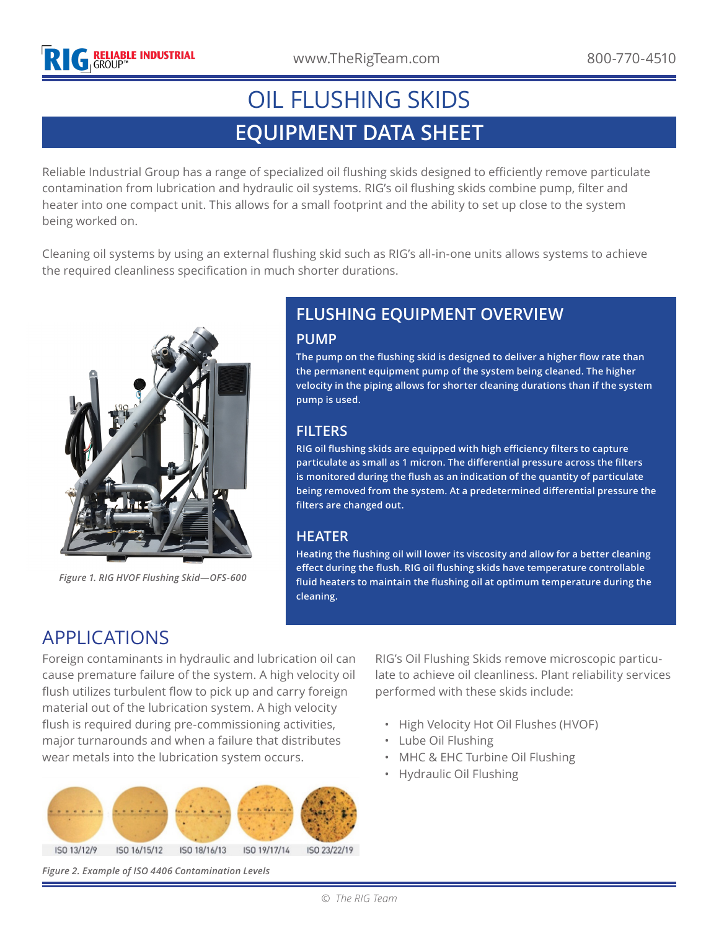# **EQUIPMENT DATA SHEET** OIL FLUSHING SKIDS

Reliable Industrial Group has a range of specialized oil flushing skids designed to efficiently remove particulate contamination from lubrication and hydraulic oil systems. RIG's oil flushing skids combine pump, filter and heater into one compact unit. This allows for a small footprint and the ability to set up close to the system being worked on.

Cleaning oil systems by using an external flushing skid such as RIG's all-in-one units allows systems to achieve the required cleanliness specification in much shorter durations.



*Figure 1. RIG HVOF Flushing Skid—OFS-600*

#### **FLUSHING EQUIPMENT OVERVIEW PUMP**

**The pump on the flushing skid is designed to deliver a higher flow rate than the permanent equipment pump of the system being cleaned. The higher velocity in the piping allows for shorter cleaning durations than if the system pump is used.**

#### **FILTERS**

**RIG oil flushing skids are equipped with high efficiency filters to capture particulate as small as 1 micron. The differential pressure across the filters is monitored during the flush as an indication of the quantity of particulate being removed from the system. At a predetermined differential pressure the filters are changed out.**

#### **HEATER**

**Heating the flushing oil will lower its viscosity and allow for a better cleaning effect during the flush. RIG oil flushing skids have temperature controllable fluid heaters to maintain the flushing oil at optimum temperature during the cleaning.**

## APPLICATIONS

Foreign contaminants in hydraulic and lubrication oil can cause premature failure of the system. A high velocity oil flush utilizes turbulent flow to pick up and carry foreign material out of the lubrication system. A high velocity flush is required during pre-commissioning activities, major turnarounds and when a failure that distributes wear metals into the lubrication system occurs.



RIG's Oil Flushing Skids remove microscopic particulate to achieve oil cleanliness. Plant reliability services performed with these skids include:

- High Velocity Hot Oil Flushes (HVOF)
- Lube Oil Flushing
- MHC & EHC Turbine Oil Flushing
- Hydraulic Oil Flushing

*Figure 2. Example of ISO 4406 Contamination Levels*